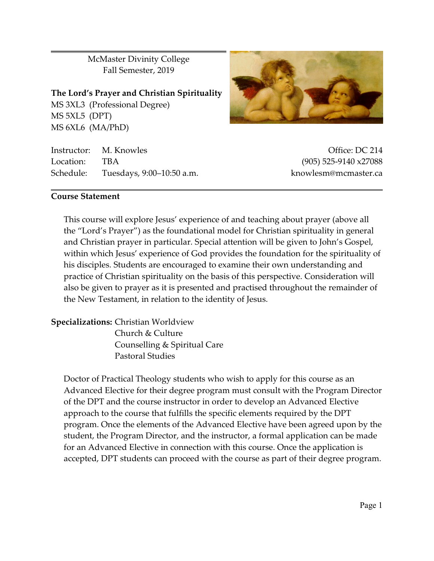McMaster Divinity College Fall Semester, 2019

**The Lord's Prayer and Christian Spirituality** MS 3XL3 (Professional Degree) MS 5XL5 (DPT) MS 6XL6 (MA/PhD)

Instructor: M. Knowles **Office: DC 214** Location: TBA (905) 525-9140 x27088 Schedule: Tuesdays, 9:00–10:50 a.m. knowlesm@mcmaster.ca

### **Course Statement**

This course will explore Jesus' experience of and teaching about prayer (above all the "Lord's Prayer") as the foundational model for Christian spirituality in general and Christian prayer in particular. Special attention will be given to John's Gospel, within which Jesus' experience of God provides the foundation for the spirituality of his disciples. Students are encouraged to examine their own understanding and practice of Christian spirituality on the basis of this perspective. Consideration will also be given to prayer as it is presented and practised throughout the remainder of the New Testament, in relation to the identity of Jesus.

**Specializations:** Christian Worldview Church & Culture Counselling & Spiritual Care Pastoral Studies

Doctor of Practical Theology students who wish to apply for this course as an Advanced Elective for their degree program must consult with the Program Director of the DPT and the course instructor in order to develop an Advanced Elective approach to the course that fulfills the specific elements required by the DPT program. Once the elements of the Advanced Elective have been agreed upon by the student, the Program Director, and the instructor, a formal application can be made for an Advanced Elective in connection with this course. Once the application is accepted, DPT students can proceed with the course as part of their degree program.

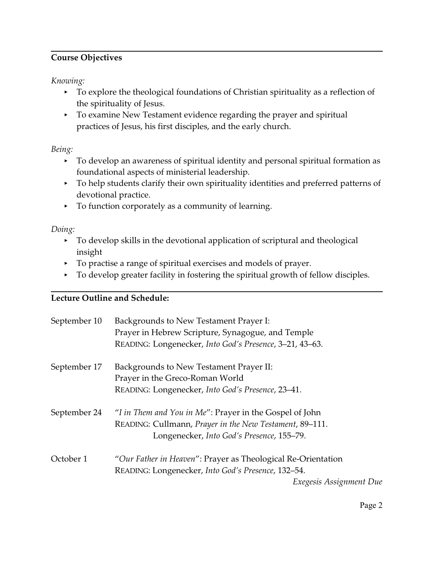# **Course Objectives**

*Knowing:*

- To explore the theological foundations of Christian spirituality as a reflection of the spirituality of Jesus.
- To examine New Testament evidence regarding the prayer and spiritual practices of Jesus, his first disciples, and the early church.

*Being:*

- < To develop an awareness of spiritual identity and personal spiritual formation as foundational aspects of ministerial leadership.
- To help students clarify their own spirituality identities and preferred patterns of devotional practice.
- < To function corporately as a community of learning.

*Doing:*

- < To develop skills in the devotional application of scriptural and theological insight
- To practise a range of spiritual exercises and models of prayer.
- $\triangleright$  To develop greater facility in fostering the spiritual growth of fellow disciples.

# **Lecture Outline and Schedule:**

| September 10 | Backgrounds to New Testament Prayer I:<br>Prayer in Hebrew Scripture, Synagogue, and Temple<br>READING: Longenecker, Into God's Presence, 3-21, 43-63.          |
|--------------|-----------------------------------------------------------------------------------------------------------------------------------------------------------------|
| September 17 | Backgrounds to New Testament Prayer II:<br>Prayer in the Greco-Roman World<br>READING: Longenecker, Into God's Presence, 23-41.                                 |
| September 24 | "I in Them and You in Me": Prayer in the Gospel of John<br>READING: Cullmann, Prayer in the New Testament, 89-111.<br>Longenecker, Into God's Presence, 155-79. |
| October 1    | "Our Father in Heaven": Prayer as Theological Re-Orientation<br>READING: Longenecker, Into God's Presence, 132-54.<br>Exegesis Assignment Due                   |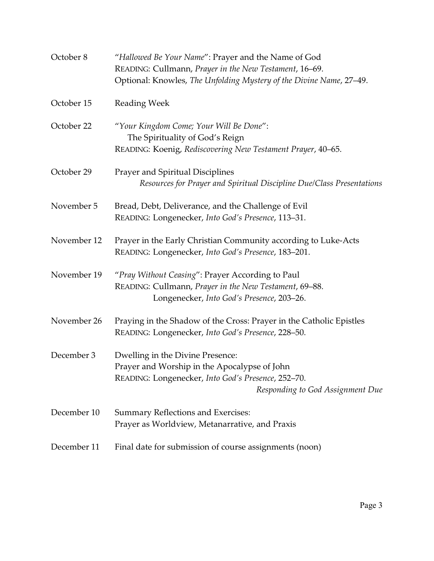| October 8   | "Hallowed Be Your Name": Prayer and the Name of God                        |  |  |
|-------------|----------------------------------------------------------------------------|--|--|
|             | READING: Cullmann, Prayer in the New Testament, 16-69.                     |  |  |
|             | Optional: Knowles, The Unfolding Mystery of the Divine Name, 27-49.        |  |  |
| October 15  | <b>Reading Week</b>                                                        |  |  |
| October 22  | "Your Kingdom Come; Your Will Be Done":<br>The Spirituality of God's Reign |  |  |
|             | READING: Koenig, Rediscovering New Testament Prayer, 40-65.                |  |  |
| October 29  | Prayer and Spiritual Disciplines                                           |  |  |
|             | Resources for Prayer and Spiritual Discipline Due/Class Presentations      |  |  |
| November 5  | Bread, Debt, Deliverance, and the Challenge of Evil                        |  |  |
|             | READING: Longenecker, Into God's Presence, 113-31.                         |  |  |
| November 12 | Prayer in the Early Christian Community according to Luke-Acts             |  |  |
|             | READING: Longenecker, Into God's Presence, 183-201.                        |  |  |
| November 19 | "Pray Without Ceasing": Prayer According to Paul                           |  |  |
|             | READING: Cullmann, Prayer in the New Testament, 69-88.                     |  |  |
|             | Longenecker, Into God's Presence, 203-26.                                  |  |  |
| November 26 | Praying in the Shadow of the Cross: Prayer in the Catholic Epistles        |  |  |
|             | READING: Longenecker, Into God's Presence, 228-50.                         |  |  |
| December 3  | Dwelling in the Divine Presence:                                           |  |  |
|             | Prayer and Worship in the Apocalypse of John                               |  |  |
|             | READING: Longenecker, Into God's Presence, 252-70.                         |  |  |
|             | Responding to God Assignment Due                                           |  |  |
| December 10 | <b>Summary Reflections and Exercises:</b>                                  |  |  |
|             | Prayer as Worldview, Metanarrative, and Praxis                             |  |  |
| December 11 | Final date for submission of course assignments (noon)                     |  |  |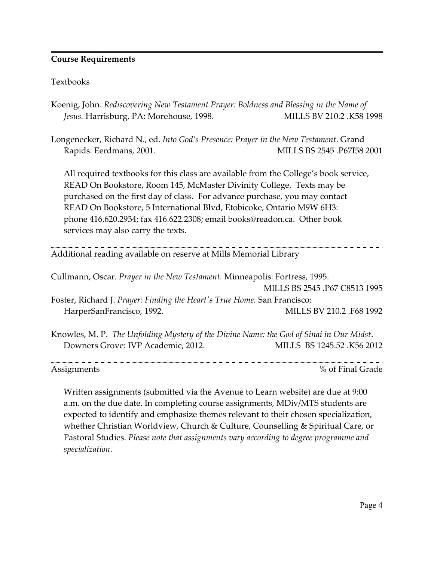## **Course Requirements**

## Textbooks

- Koenig, John. *Rediscovering New Testament Prayer: Boldness and Blessing in the Name of Jesus.* Harrisburg, PA: Morehouse, 1998. MILLS BV 210.2 .K58 1998
- Longenecker, Richard N., ed. *Into God's Presence: Prayer in the New Testament*. Grand Rapids: Eerdmans, 2001. MILLS BS 2545 .P67I58 2001

All required textbooks for this class are available from the College's book service, READ On Bookstore, Room 145, McMaster Divinity College. Texts may be purchased on the first day of class. For advance purchase, you may contact READ On Bookstore, 5 International Blvd, Etobicoke, Ontario M9W 6H3: phone 416.620.2934; fax 416.622.2308; email books@readon.ca. Other book services may also carry the texts.

Additional reading available on reserve at Mills Memorial Library

Cullmann, Oscar. *Prayer in the New Testament.* Minneapolis: Fortress, 1995. MILLS BS 2545 .P67 C8513 1995 Foster, Richard J. *Prayer: Finding the Heart's True Home.* San Francisco: HarperSanFrancisco, 1992. MILLS BV 210.2 .F68 1992

Knowles, M. P. *The Unfolding Mystery of the Divine Name: the God of Sinai in Our Midst*. Downers Grove: IVP Academic, 2012. MILLS BS 1245.52 .K56 2012

Assignments  $\%$  of Final Grade

Written assignments (submitted via the Avenue to Learn website) are due at 9:00 a.m. on the due date. In completing course assignments, MDiv/MTS students are expected to identify and emphasize themes relevant to their chosen specialization, whether Christian Worldview, Church & Culture, Counselling & Spiritual Care, or Pastoral Studies. *Please note that assignments vary according to degree programme and specialization*.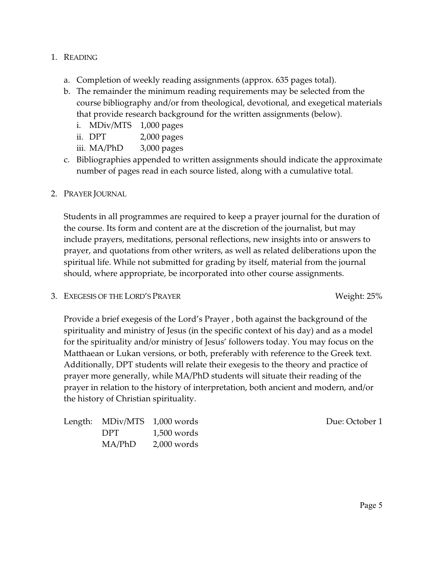## 1. READING

- a. Completion of weekly reading assignments (approx. 635 pages total).
- b. The remainder the minimum reading requirements may be selected from the course bibliography and/or from theological, devotional, and exegetical materials that provide research background for the written assignments (below).
	- i. MDiv/MTS 1,000 pages
	- ii. DPT 2,000 pages
	- iii. MA/PhD 3,000 pages
- c. Bibliographies appended to written assignments should indicate the approximate number of pages read in each source listed, along with a cumulative total.

## 2. PRAYER JOURNAL

Students in all programmes are required to keep a prayer journal for the duration of the course. Its form and content are at the discretion of the journalist, but may include prayers, meditations, personal reflections, new insights into or answers to prayer, and quotations from other writers, as well as related deliberations upon the spiritual life. While not submitted for grading by itself, material from the journal should, where appropriate, be incorporated into other course assignments.

3. EXEGESIS OF THE LORD'S PRAYER Weight: 25%

Provide a brief exegesis of the Lord's Prayer , both against the background of the spirituality and ministry of Jesus (in the specific context of his day) and as a model for the spirituality and/or ministry of Jesus' followers today. You may focus on the Matthaean or Lukan versions, or both, preferably with reference to the Greek text. Additionally, DPT students will relate their exegesis to the theory and practice of prayer more generally, while MA/PhD students will situate their reading of the prayer in relation to the history of interpretation, both ancient and modern, and/or the history of Christian spirituality.

| Length: MDiv/MTS 1,000 words |               |
|------------------------------|---------------|
| DPT.                         | $1,500$ words |
| MA/PhD                       | $2,000$ words |

Due: October 1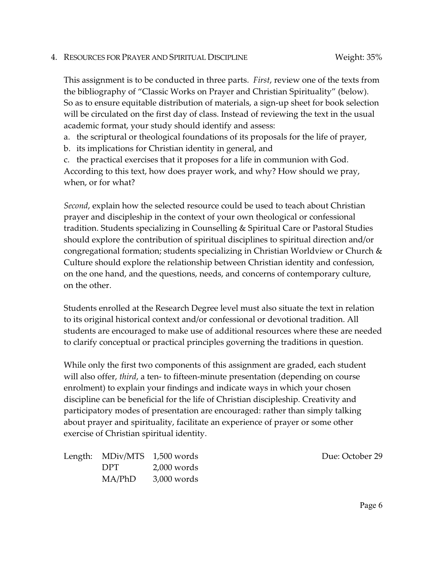#### 4. RESOURCES FOR PRAYER AND SPIRITUAL DISCIPLINE Weight: 35%

This assignment is to be conducted in three parts. *First*, review one of the texts from the bibliography of "Classic Works on Prayer and Christian Spirituality" (below). So as to ensure equitable distribution of materials, a sign-up sheet for book selection will be circulated on the first day of class. Instead of reviewing the text in the usual academic format, your study should identify and assess:

a. the scriptural or theological foundations of its proposals for the life of prayer,

b. its implications for Christian identity in general, and

c. the practical exercises that it proposes for a life in communion with God. According to this text, how does prayer work, and why? How should we pray, when, or for what?

*Second*, explain how the selected resource could be used to teach about Christian prayer and discipleship in the context of your own theological or confessional tradition. Students specializing in Counselling & Spiritual Care or Pastoral Studies should explore the contribution of spiritual disciplines to spiritual direction and/or congregational formation; students specializing in Christian Worldview or Church & Culture should explore the relationship between Christian identity and confession, on the one hand, and the questions, needs, and concerns of contemporary culture, on the other.

Students enrolled at the Research Degree level must also situate the text in relation to its original historical context and/or confessional or devotional tradition. All students are encouraged to make use of additional resources where these are needed to clarify conceptual or practical principles governing the traditions in question.

While only the first two components of this assignment are graded, each student will also offer, *third*, a ten- to fifteen-minute presentation (depending on course enrolment) to explain your findings and indicate ways in which your chosen discipline can be beneficial for the life of Christian discipleship. Creativity and participatory modes of presentation are encouraged: rather than simply talking about prayer and spirituality, facilitate an experience of prayer or some other exercise of Christian spiritual identity.

| Length: MDiv/MTS 1,500 words |               |
|------------------------------|---------------|
| DPT.                         | $2,000$ words |
| MA/PhD                       | $3,000$ words |

Due: October 29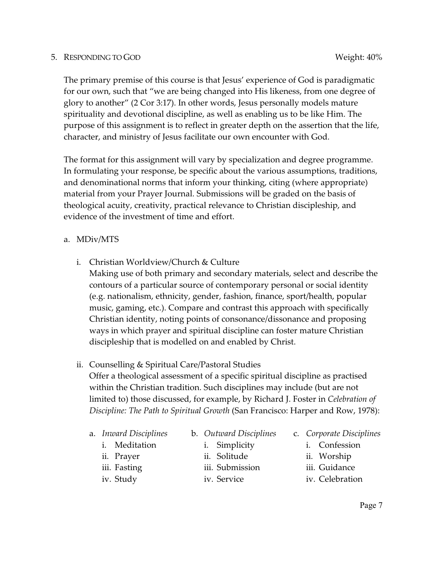### 5. RESPONDING TO GOD WEIGHT AND THE SERVICE OF THE SERVICE OF THE SERVICE OF THE SERVICE OF THE SERVICE OF THE SERVICE OF THE SERVICE OF THE SERVICE OF THE SERVICE OF THE SERVICE OF THE SERVICE OF THE SERVICE OF THE SERVIC

The primary premise of this course is that Jesus' experience of God is paradigmatic for our own, such that "we are being changed into His likeness, from one degree of glory to another" (2 Cor 3:17). In other words, Jesus personally models mature spirituality and devotional discipline, as well as enabling us to be like Him. The purpose of this assignment is to reflect in greater depth on the assertion that the life, character, and ministry of Jesus facilitate our own encounter with God.

The format for this assignment will vary by specialization and degree programme. In formulating your response, be specific about the various assumptions, traditions, and denominational norms that inform your thinking, citing (where appropriate) material from your Prayer Journal. Submissions will be graded on the basis of theological acuity, creativity, practical relevance to Christian discipleship, and evidence of the investment of time and effort.

## a. MDiv/MTS

- i. Christian Worldview/Church & Culture
	- Making use of both primary and secondary materials, select and describe the contours of a particular source of contemporary personal or social identity (e.g. nationalism, ethnicity, gender, fashion, finance, sport/health, popular music, gaming, etc.). Compare and contrast this approach with specifically Christian identity, noting points of consonance/dissonance and proposing ways in which prayer and spiritual discipline can foster mature Christian discipleship that is modelled on and enabled by Christ.

# ii. Counselling & Spiritual Care/Pastoral Studies

Offer a theological assessment of a specific spiritual discipline as practised within the Christian tradition. Such disciplines may include (but are not limited to) those discussed, for example, by Richard J. Foster in *Celebration of Discipline: The Path to Spiritual Growth* (San Francisco: Harper and Row, 1978):

- a. *Inward Disciplines*
	- i. Meditation
	- ii. Prayer
	- iii. Fasting
	- iv. Study
- b. *Outward Disciplines*
	- i. Simplicity
	- ii. Solitude
	- iii. Submission
	- iv. Service
- c. *Corporate Disciplines*
	- i. Confession
	- ii. Worship
	- iii. Guidance
	- iv. Celebration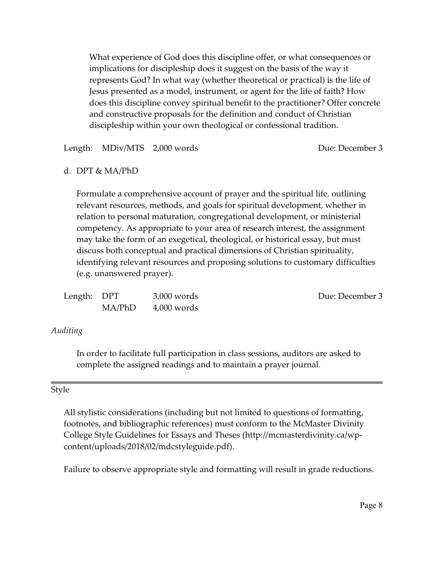What experience of God does this discipline offer, or what consequences or implications for discipleship does it suggest on the basis of the way it represents God? In what way (whether theoretical or practical) is the life of Jesus presented as a model, instrument, or agent for the life of faith? How does this discipline convey spiritual benefit to the practitioner? Offer concrete and constructive proposals for the definition and conduct of Christian discipleship within your own theological or confessional tradition.

Length: MDiv/MTS 2,000 words Due: December 3

#### d. DPT & MA/PhD

Formulate a comprehensive account of prayer and the spiritual life, outlining relevant resources, methods, and goals for spiritual development, whether in relation to personal maturation, congregational development, or ministerial competency. As appropriate to your area of research interest, the assignment may take the form of an exegetical, theological, or historical essay, but must discuss both conceptual and practical dimensions of Christian spirituality, identifying relevant resources and proposing solutions to customary difficulties (e.g. unanswered prayer).

| Length: DPT |        | $3,000$ words |
|-------------|--------|---------------|
|             | MA/PhD | $4,000$ words |

#### Due: December 3

#### *Auditing*

In order to facilitate full participation in class sessions, auditors are asked to complete the assigned readings and to maintain a prayer journal.

#### Style

All stylistic considerations (including but not limited to questions of formatting, footnotes, and bibliographic references) must conform to the McMaster Divinity College Style Guidelines for Essays and Theses (http://mcmasterdivinity.ca/wpcontent/uploads/2018/02/mdcstyleguide.pdf).

Failure to observe appropriate style and formatting will result in grade reductions.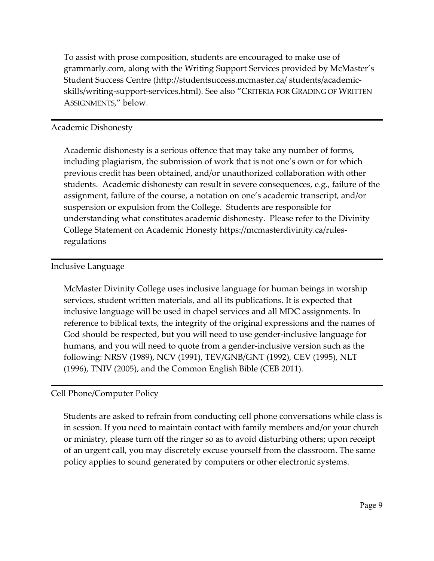To assist with prose composition, students are encouraged to make use of grammarly.com, along with the Writing Support Services provided by McMaster's Student Success Centre (http://studentsuccess.mcmaster.ca/ students/academicskills/writing-support-services.html). See also "CRITERIA FOR GRADING OF WRITTEN ASSIGNMENTS," below.

## Academic Dishonesty

Academic dishonesty is a serious offence that may take any number of forms, including plagiarism, the submission of work that is not one's own or for which previous credit has been obtained, and/or unauthorized collaboration with other students. Academic dishonesty can result in severe consequences, e.g., failure of the assignment, failure of the course, a notation on one's academic transcript, and/or suspension or expulsion from the College. Students are responsible for understanding what constitutes academic dishonesty. Please refer to the Divinity College Statement on Academic Honesty https://mcmasterdivinity.ca/rulesregulations

## Inclusive Language

McMaster Divinity College uses inclusive language for human beings in worship services, student written materials, and all its publications. It is expected that inclusive language will be used in chapel services and all MDC assignments. In reference to biblical texts, the integrity of the original expressions and the names of God should be respected, but you will need to use gender-inclusive language for humans, and you will need to quote from a gender-inclusive version such as the following: NRSV (1989), NCV (1991), TEV/GNB/GNT (1992), CEV (1995), NLT (1996), TNIV (2005), and the Common English Bible (CEB 2011).

# Cell Phone/Computer Policy

Students are asked to refrain from conducting cell phone conversations while class is in session. If you need to maintain contact with family members and/or your church or ministry, please turn off the ringer so as to avoid disturbing others; upon receipt of an urgent call, you may discretely excuse yourself from the classroom. The same policy applies to sound generated by computers or other electronic systems.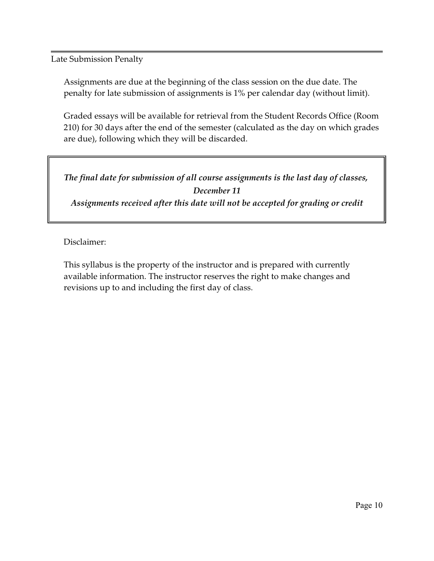Late Submission Penalty

Assignments are due at the beginning of the class session on the due date. The penalty for late submission of assignments is 1% per calendar day (without limit).

Graded essays will be available for retrieval from the Student Records Office (Room 210) for 30 days after the end of the semester (calculated as the day on which grades are due), following which they will be discarded.

*The final date for submission of all course assignments is the last day of classes, December 11 Assignments received after this date will not be accepted for grading or credit*

Disclaimer:

This syllabus is the property of the instructor and is prepared with currently available information. The instructor reserves the right to make changes and revisions up to and including the first day of class.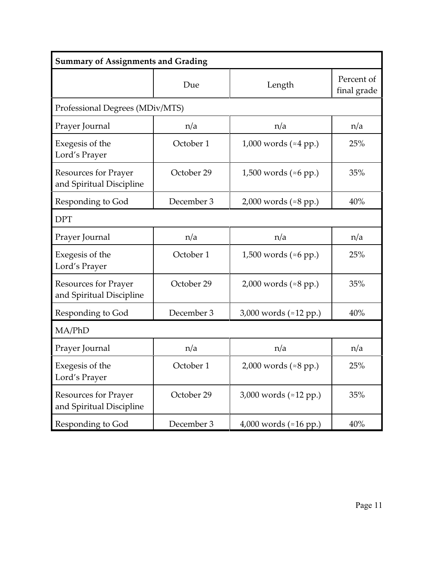| <b>Summary of Assignments and Grading</b>               |                                 |                                 |                           |  |
|---------------------------------------------------------|---------------------------------|---------------------------------|---------------------------|--|
|                                                         | Due                             | Length                          | Percent of<br>final grade |  |
|                                                         | Professional Degrees (MDiv/MTS) |                                 |                           |  |
| Prayer Journal                                          | n/a                             | n/a                             | n/a                       |  |
| Exegesis of the<br>Lord's Prayer                        | October 1                       | 1,000 words $(*4 pp.)$          | 25%                       |  |
| <b>Resources for Prayer</b><br>and Spiritual Discipline | October 29                      | 1,500 words ( $\approx$ 6 pp.)  | 35%                       |  |
| Responding to God                                       | December 3                      | 2,000 words ( $\approx 8$ pp.)  | 40%                       |  |
| <b>DPT</b>                                              |                                 |                                 |                           |  |
| Prayer Journal                                          | n/a                             | n/a                             | n/a                       |  |
| Exegesis of the<br>Lord's Prayer                        | October 1                       | 1,500 words ( $\approx 6$ pp.)  | 25%                       |  |
| <b>Resources for Prayer</b><br>and Spiritual Discipline | October 29                      | 2,000 words ( $\approx 8$ pp.)  | 35%                       |  |
| Responding to God                                       | December 3                      | 3,000 words (≈12 pp.)           | 40%                       |  |
| MA/PhD                                                  |                                 |                                 |                           |  |
| Prayer Journal                                          | n/a                             | n/a                             | n/a                       |  |
| Exegesis of the<br>Lord's Prayer                        | October 1                       | 2,000 words (≈8 pp.)            | 25%                       |  |
| <b>Resources for Prayer</b><br>and Spiritual Discipline | October 29                      | 3,000 words ( $\approx$ 12 pp.) | 35%                       |  |
| Responding to God                                       | December 3                      | 4,000 words (≈16 pp.)           | 40%                       |  |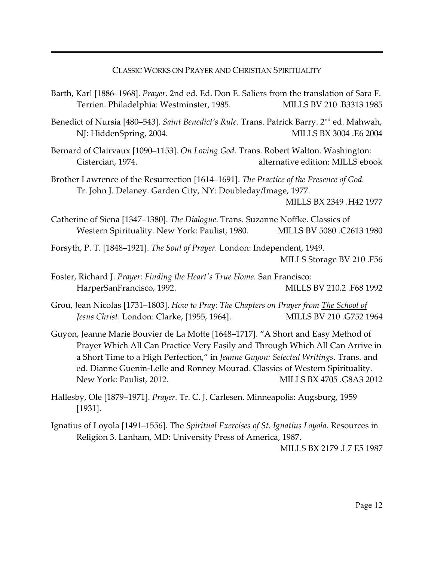CLASSIC WORKS ON PRAYER AND CHRISTIAN SPIRITUALITY

- Barth, Karl [1886–1968]. *Prayer*. 2nd ed. Ed. Don E. Saliers from the translation of Sara F. Terrien. Philadelphia: Westminster, 1985. MILLS BV 210 .B3313 1985
- Benedict of Nursia [480–543]. *Saint Benedict's Rule*. Trans. Patrick Barry. 2<sup>nd</sup> ed. Mahwah, NJ: HiddenSpring, 2004. MILLS BX 3004 .E6 2004
- Bernard of Clairvaux [1090–1153]. *On Loving God.* Trans. Robert Walton. Washington: Cistercian, 1974. alternative edition: MILLS ebook
- Brother Lawrence of the Resurrection [1614–1691]. *The Practice of the Presence of God.* Tr. John J. Delaney. Garden City, NY: Doubleday/Image, 1977.

MILLS BX 2349 .H42 1977

- Catherine of Siena [1347–1380]. *The Dialogue*. Trans. Suzanne Noffke. Classics of Western Spirituality. New York: Paulist, 1980. MILLS BV 5080 .C2613 1980
- Forsyth, P. T. [1848–1921]. *The Soul of Prayer.* London: Independent, 1949. MILLS Storage BV 210 .F56
- Foster, Richard J. *Prayer: Finding the Heart's True Home.* San Francisco: HarperSanFrancisco, 1992. MILLS BV 210.2 .F68 1992
- Grou, Jean Nicolas [1731–1803]. *How to Pray: The Chapters on Prayer from The School of Jesus Christ*. London: Clarke, [1955, 1964]. MILLS BV 210 .G752 1964
- Guyon, Jeanne Marie Bouvier de La Motte [1648–1717]. "A Short and Easy Method of Prayer Which All Can Practice Very Easily and Through Which All Can Arrive in a Short Time to a High Perfection," in *Jeanne Guyon: Selected Writings*. Trans. and ed. Dianne Guenin-Lelle and Ronney Mourad. Classics of Western Spirituality. New York: Paulist, 2012. MILLS BX 4705 .G8A3 2012
- Hallesby, Ole [1879–1971]. *Prayer.* Tr. C. J. Carlesen. Minneapolis: Augsburg, 1959 [1931].
- Ignatius of Loyola [1491–1556]. The *Spiritual Exercises of St. Ignatius Loyola.* Resources in Religion 3. Lanham, MD: University Press of America, 1987.

MILLS BX 2179 .L7 E5 1987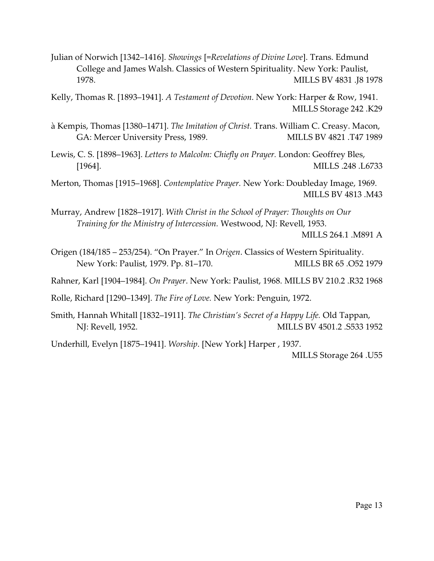Julian of Norwich [1342–1416]. *Showings* [=*Revelations of Divine Love*]. Trans. Edmund College and James Walsh. Classics of Western Spirituality. New York: Paulist, 1978. MILLS BV 4831 .J8 1978

Kelly, Thomas R. [1893–1941]. *A Testament of Devotion*. New York: Harper & Row, 1941. MILLS Storage 242 .K29

à Kempis, Thomas [1380–1471]. *The Imitation of Christ.* Trans. William C. Creasy. Macon, GA: Mercer University Press, 1989. MILLS BV 4821 .T47 1989

Lewis, C. S. [1898–1963]. *Letters to Malcolm: Chiefly on Prayer.* London: Geoffrey Bles, [1964]. MILLS .248 .L6733

Merton, Thomas [1915–1968]. *Contemplative Prayer.* New York: Doubleday Image, 1969. MILLS BV 4813 .M43

Murray, Andrew [1828–1917]. *With Christ in the School of Prayer: Thoughts on Our Training for the Ministry of Intercession.* Westwood, NJ: Revell, 1953.

MILLS 264.1 .M891 A

Origen (184/185 – 253/254). "On Prayer." In *Origen*. Classics of Western Spirituality. New York: Paulist, 1979. Pp. 81–170. MILLS BR 65 .052 1979

Rahner, Karl [1904–1984]. *On Prayer*. New York: Paulist, 1968.MILLS BV 210.2 .R32 1968

Rolle, Richard [1290–1349]. *The Fire of Love.* New York: Penguin, 1972.

Smith, Hannah Whitall [1832–1911]. *The Christian's Secret of a Happy Life.* Old Tappan, NJ: Revell, 1952. MILLS BV 4501.2 .S533 1952

Underhill, Evelyn [1875–1941]. *Worship*. [New York] Harper , 1937.

MILLS Storage 264 .U55